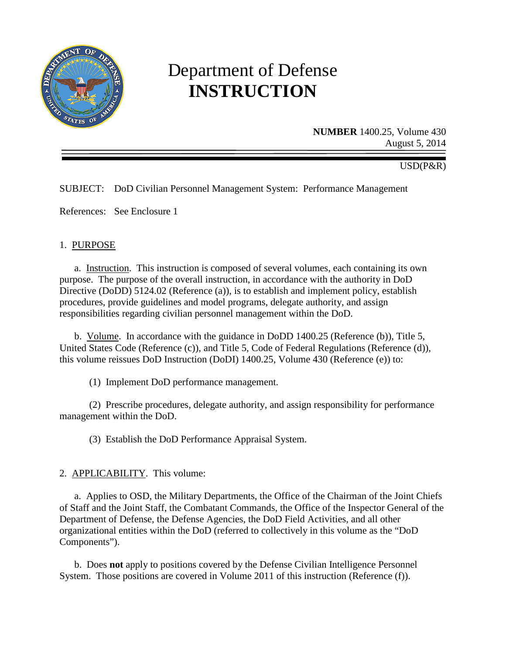

# Department of Defense **INSTRUCTION**

**NUMBER** 1400.25, Volume 430 August 5, 2014

USD(P&R)

SUBJECT: DoD Civilian Personnel Management System: Performance Management

References: See Enclosure 1

## 1. PURPOSE

a. Instruction. This instruction is composed of several volumes, each containing its own purpose. The purpose of the overall instruction, in accordance with the authority in DoD Directive (DoDD) 5124.02 (Reference (a)), is to establish and implement policy, establish procedures, provide guidelines and model programs, delegate authority, and assign responsibilities regarding civilian personnel management within the DoD.

b. Volume. In accordance with the guidance in DoDD 1400.25 (Reference (b)), Title 5, United States Code (Reference (c)), and Title 5, Code of Federal Regulations (Reference (d)), this volume reissues DoD Instruction (DoDI) 1400.25, Volume 430 (Reference (e)) to:

(1) Implement DoD performance management.

(2) Prescribe procedures, delegate authority, and assign responsibility for performance management within the DoD.

(3) Establish the DoD Performance Appraisal System.

2. APPLICABILITY. This volume:

a. Applies to OSD, the Military Departments, the Office of the Chairman of the Joint Chiefs of Staff and the Joint Staff, the Combatant Commands, the Office of the Inspector General of the Department of Defense, the Defense Agencies, the DoD Field Activities, and all other organizational entities within the DoD (referred to collectively in this volume as the "DoD Components").

b. Does **not** apply to positions covered by the Defense Civilian Intelligence Personnel System. Those positions are covered in Volume 2011 of this instruction (Reference (f)).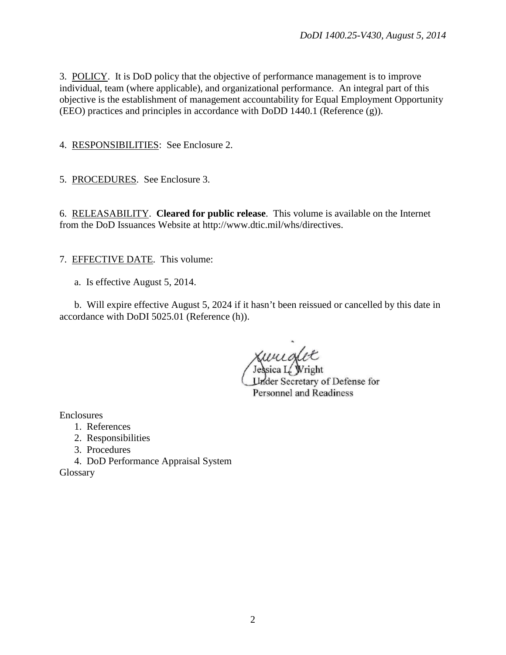3. POLICY. It is DoD policy that the objective of performance management is to improve individual, team (where applicable), and organizational performance. An integral part of this objective is the establishment of management accountability for Equal Employment Opportunity (EEO) practices and principles in accordance with DoDD 1440.1 (Reference (g)).

4. RESPONSIBILITIES: See Enclosure 2.

5. PROCEDURES. See Enclosure 3.

6. RELEASABILITY. **Cleared for public release**. This volume is available on the Internet from the DoD Issuances Website at http://www.dtic.mil/whs/directives.

7. EFFECTIVE DATE. This volume:

a. Is effective August 5, 2014.

b. Will expire effective August 5, 2024 if it hasn't been reissued or cancelled by this date in accordance with DoDI 5025.01 (Reference (h)).

sica L. Wright **Under Secretary of Defense for Personnel and Readiness** 

Enclosures

- 1. References
- 2. Responsibilities
- 3. Procedures

4. DoD Performance Appraisal System

**Glossary**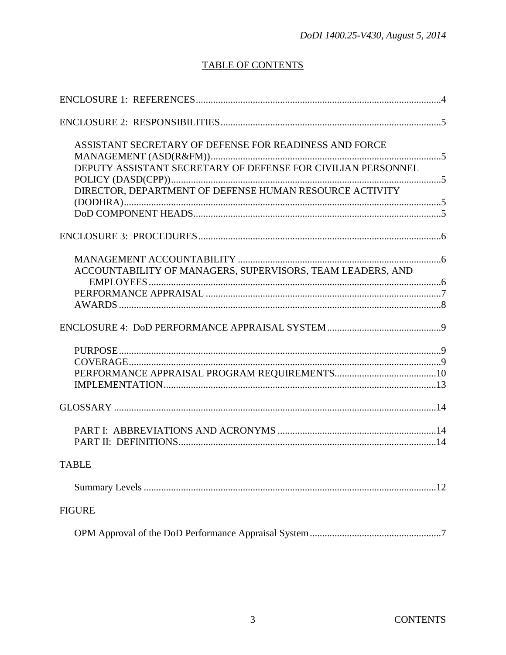# **TABLE OF CONTENTS**

| ASSISTANT SECRETARY OF DEFENSE FOR READINESS AND FORCE       |  |
|--------------------------------------------------------------|--|
| DEPUTY ASSISTANT SECRETARY OF DEFENSE FOR CIVILIAN PERSONNEL |  |
| DIRECTOR, DEPARTMENT OF DEFENSE HUMAN RESOURCE ACTIVITY      |  |
|                                                              |  |
|                                                              |  |
| ACCOUNTABILITY OF MANAGERS, SUPERVISORS, TEAM LEADERS, AND   |  |
|                                                              |  |
|                                                              |  |
|                                                              |  |
|                                                              |  |
|                                                              |  |
|                                                              |  |
|                                                              |  |
|                                                              |  |
| <b>TABLE</b>                                                 |  |
|                                                              |  |
| <b>FIGURE</b>                                                |  |
|                                                              |  |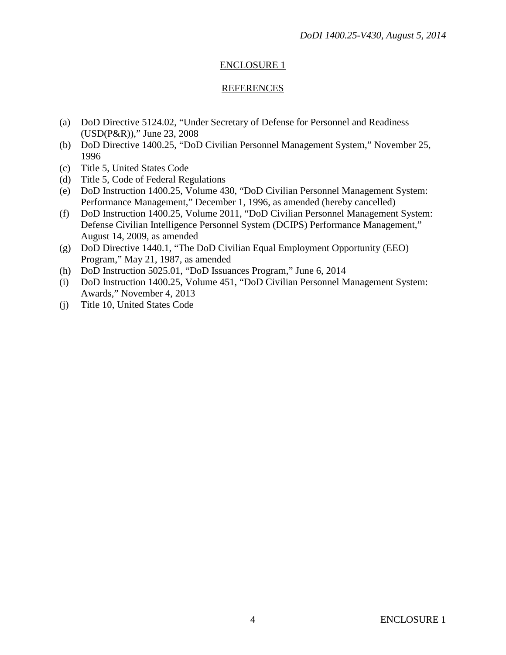## REFERENCES

- (a) DoD Directive 5124.02, "Under Secretary of Defense for Personnel and Readiness (USD(P&R))," June 23, 2008
- (b) DoD Directive 1400.25, "DoD Civilian Personnel Management System," November 25, 1996
- (c) Title 5, United States Code
- (d) Title 5, Code of Federal Regulations
- (e) DoD Instruction 1400.25, Volume 430, "DoD Civilian Personnel Management System: Performance Management," December 1, 1996, as amended (hereby cancelled)
- (f) DoD Instruction 1400.25, Volume 2011, "DoD Civilian Personnel Management System: Defense Civilian Intelligence Personnel System (DCIPS) Performance Management," August 14, 2009, as amended
- (g) DoD Directive 1440.1, "The DoD Civilian Equal Employment Opportunity (EEO) Program," May 21, 1987, as amended
- (h) DoD Instruction 5025.01, "DoD Issuances Program," June 6, 2014
- (i) DoD Instruction 1400.25, Volume 451, "DoD Civilian Personnel Management System: Awards," November 4, 2013
- (j) Title 10, United States Code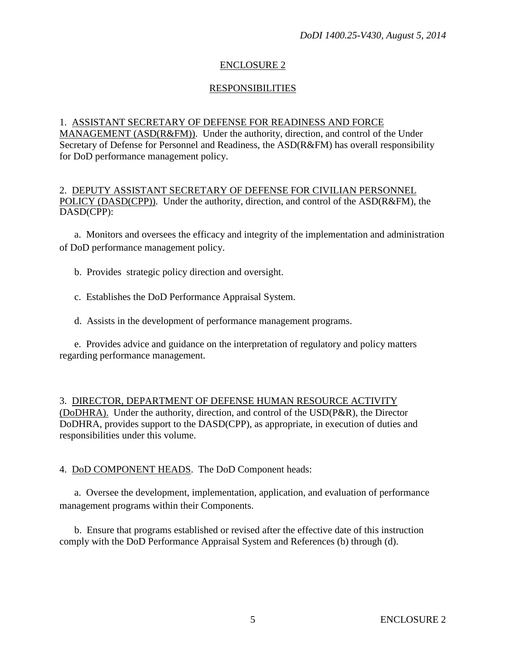## RESPONSIBILITIES

#### 1. ASSISTANT SECRETARY OF DEFENSE FOR READINESS AND FORCE

MANAGEMENT (ASD(R&FM)). Under the authority, direction, and control of the Under Secretary of Defense for Personnel and Readiness, the ASD(R&FM) has overall responsibility for DoD performance management policy.

#### 2. DEPUTY ASSISTANT SECRETARY OF DEFENSE FOR CIVILIAN PERSONNEL POLICY (DASD(CPP)). Under the authority, direction, and control of the ASD(R&FM), the DASD(CPP):

a. Monitors and oversees the efficacy and integrity of the implementation and administration of DoD performance management policy.

- b. Provides strategic policy direction and oversight.
- c. Establishes the DoD Performance Appraisal System.
- d. Assists in the development of performance management programs.

e. Provides advice and guidance on the interpretation of regulatory and policy matters regarding performance management.

3. DIRECTOR, DEPARTMENT OF DEFENSE HUMAN RESOURCE ACTIVITY (DoDHRA). Under the authority, direction, and control of the USD(P&R), the Director DoDHRA, provides support to the DASD(CPP), as appropriate, in execution of duties and responsibilities under this volume.

## 4. DoD COMPONENT HEADS. The DoD Component heads:

a. Oversee the development, implementation, application, and evaluation of performance management programs within their Components.

b. Ensure that programs established or revised after the effective date of this instruction comply with the DoD Performance Appraisal System and References (b) through (d).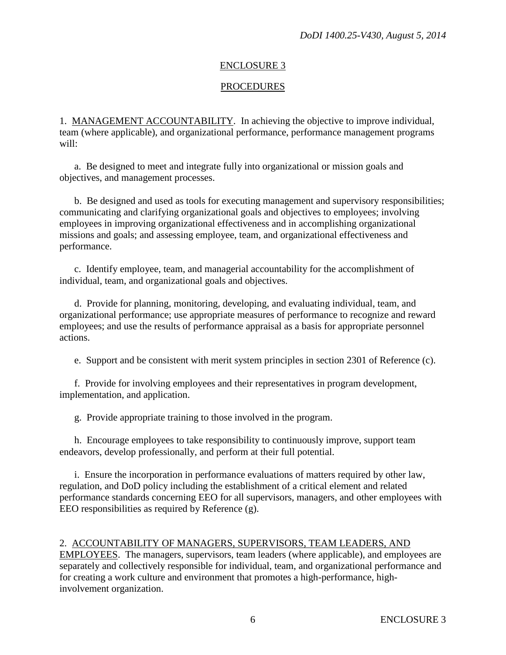# PROCEDURES

1. MANAGEMENT ACCOUNTABILITY. In achieving the objective to improve individual, team (where applicable), and organizational performance, performance management programs will:

a. Be designed to meet and integrate fully into organizational or mission goals and objectives, and management processes.

b. Be designed and used as tools for executing management and supervisory responsibilities; communicating and clarifying organizational goals and objectives to employees; involving employees in improving organizational effectiveness and in accomplishing organizational missions and goals; and assessing employee, team, and organizational effectiveness and performance.

c. Identify employee, team, and managerial accountability for the accomplishment of individual, team, and organizational goals and objectives.

d. Provide for planning, monitoring, developing, and evaluating individual, team, and organizational performance; use appropriate measures of performance to recognize and reward employees; and use the results of performance appraisal as a basis for appropriate personnel actions.

e. Support and be consistent with merit system principles in section 2301 of Reference (c).

f. Provide for involving employees and their representatives in program development, implementation, and application.

g. Provide appropriate training to those involved in the program.

h. Encourage employees to take responsibility to continuously improve, support team endeavors, develop professionally, and perform at their full potential.

i. Ensure the incorporation in performance evaluations of matters required by other law, regulation, and DoD policy including the establishment of a critical element and related performance standards concerning EEO for all supervisors, managers, and other employees with EEO responsibilities as required by Reference (g).

## 2. ACCOUNTABILITY OF MANAGERS, SUPERVISORS, TEAM LEADERS, AND

EMPLOYEES. The managers, supervisors, team leaders (where applicable), and employees are separately and collectively responsible for individual, team, and organizational performance and for creating a work culture and environment that promotes a high-performance, highinvolvement organization.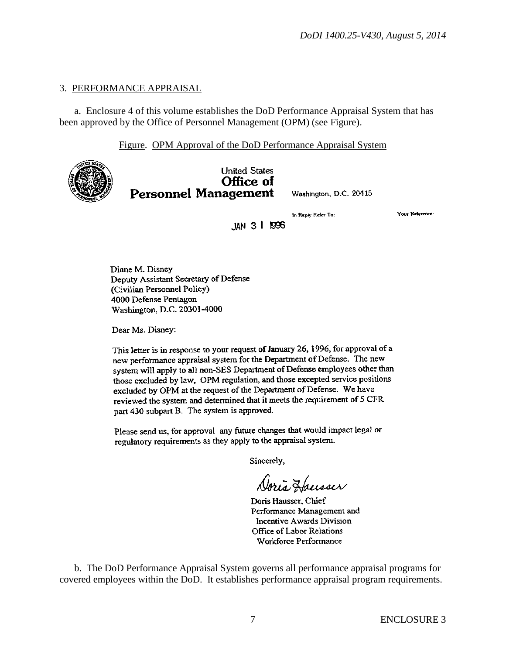#### 3. PERFORMANCE APPRAISAL

a. Enclosure 4 of this volume establishes the DoD Performance Appraisal System that has been approved by the Office of Personnel Management (OPM) (see Figure).

Figure. OPM Approval of the DoD Performance Appraisal System



**United States** Office of **Personnel Management** 

Washington, D.C. 20415

In Reply Refer To:

**Your Reference:** 

JAN 3 1 1996

Diane M. Disney Deputy Assistant Secretary of Defense (Civilian Personnel Policy) 4000 Defense Pentagon

Dear Ms. Disney:

Washington, D.C. 20301-4000

This letter is in response to your request of January 26, 1996, for approval of a new performance appraisal system for the Department of Defense. The new system will apply to all non-SES Department of Defense employees other than those excluded by law, OPM regulation, and those excepted service positions excluded by OPM at the request of the Department of Defense. We have reviewed the system and determined that it meets the requirement of 5 CFR part 430 subpart B. The system is approved.

Please send us, for approval any future changes that would impact legal or regulatory requirements as they apply to the appraisal system.

Sincerely,

Doris Housser

Doris Hausser, Chief Performance Management and Incentive Awards Division Office of Labor Relations Workforce Performance

b. The DoD Performance Appraisal System governs all performance appraisal programs for covered employees within the DoD. It establishes performance appraisal program requirements.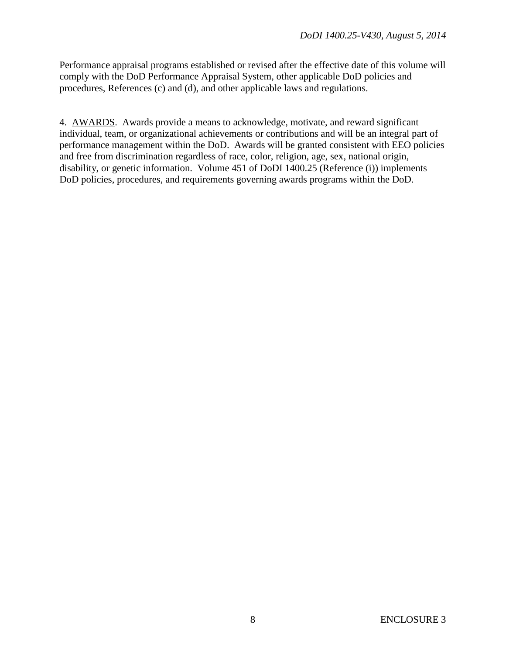Performance appraisal programs established or revised after the effective date of this volume will comply with the DoD Performance Appraisal System, other applicable DoD policies and procedures, References (c) and (d), and other applicable laws and regulations.

4. AWARDS. Awards provide a means to acknowledge, motivate, and reward significant individual, team, or organizational achievements or contributions and will be an integral part of performance management within the DoD. Awards will be granted consistent with EEO policies and free from discrimination regardless of race, color, religion, age, sex, national origin, disability, or genetic information. Volume 451 of DoDI 1400.25 (Reference (i)) implements DoD policies, procedures, and requirements governing awards programs within the DoD.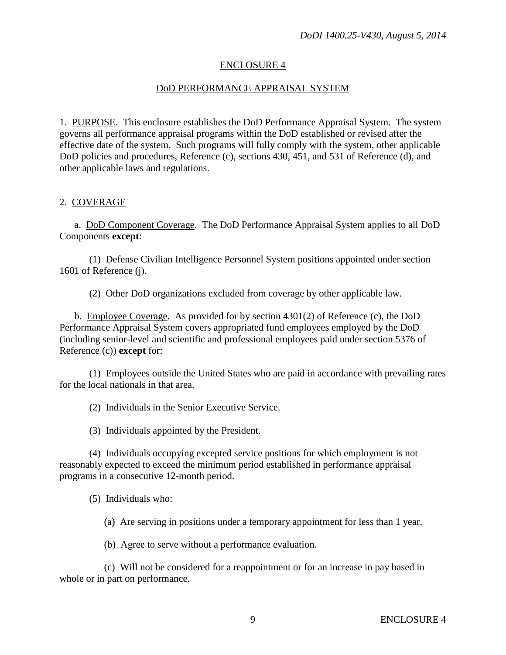# DoD PERFORMANCE APPRAISAL SYSTEM

1. PURPOSE. This enclosure establishes the DoD Performance Appraisal System. The system governs all performance appraisal programs within the DoD established or revised after the effective date of the system. Such programs will fully comply with the system, other applicable DoD policies and procedures, Reference (c), sections 430, 451, and 531 of Reference (d), and other applicable laws and regulations.

#### 2. COVERAGE

a. DoD Component Coverage. The DoD Performance Appraisal System applies to all DoD Components **except**:

(1) Defense Civilian Intelligence Personnel System positions appointed under section 1601 of Reference (j).

(2) Other DoD organizations excluded from coverage by other applicable law.

b. Employee Coverage. As provided for by section 4301(2) of Reference (c), the DoD Performance Appraisal System covers appropriated fund employees employed by the DoD (including senior-level and scientific and professional employees paid under section 5376 of Reference (c)) **except** for:

(1) Employees outside the United States who are paid in accordance with prevailing rates for the local nationals in that area.

(2) Individuals in the Senior Executive Service.

(3) Individuals appointed by the President.

(4) Individuals occupying excepted service positions for which employment is not reasonably expected to exceed the minimum period established in performance appraisal programs in a consecutive 12-month period.

(5) Individuals who:

(a) Are serving in positions under a temporary appointment for less than 1 year.

(b) Agree to serve without a performance evaluation.

(c) Will not be considered for a reappointment or for an increase in pay based in whole or in part on performance.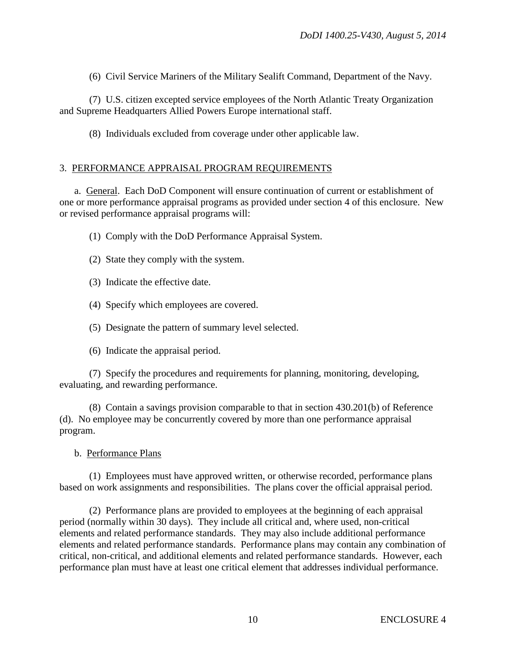(6) Civil Service Mariners of the Military Sealift Command, Department of the Navy.

(7) U.S. citizen excepted service employees of the North Atlantic Treaty Organization and Supreme Headquarters Allied Powers Europe international staff.

(8) Individuals excluded from coverage under other applicable law.

#### 3. PERFORMANCE APPRAISAL PROGRAM REQUIREMENTS

a. General. Each DoD Component will ensure continuation of current or establishment of one or more performance appraisal programs as provided under section 4 of this enclosure. New or revised performance appraisal programs will:

(1) Comply with the DoD Performance Appraisal System.

- (2) State they comply with the system.
- (3) Indicate the effective date.
- (4) Specify which employees are covered.
- (5) Designate the pattern of summary level selected.
- (6) Indicate the appraisal period.

(7) Specify the procedures and requirements for planning, monitoring, developing, evaluating, and rewarding performance.

(8) Contain a savings provision comparable to that in section 430.201(b) of Reference (d). No employee may be concurrently covered by more than one performance appraisal program.

#### b. Performance Plans

(1) Employees must have approved written, or otherwise recorded, performance plans based on work assignments and responsibilities. The plans cover the official appraisal period.

(2) Performance plans are provided to employees at the beginning of each appraisal period (normally within 30 days). They include all critical and, where used, non-critical elements and related performance standards. They may also include additional performance elements and related performance standards. Performance plans may contain any combination of critical, non-critical, and additional elements and related performance standards. However, each performance plan must have at least one critical element that addresses individual performance.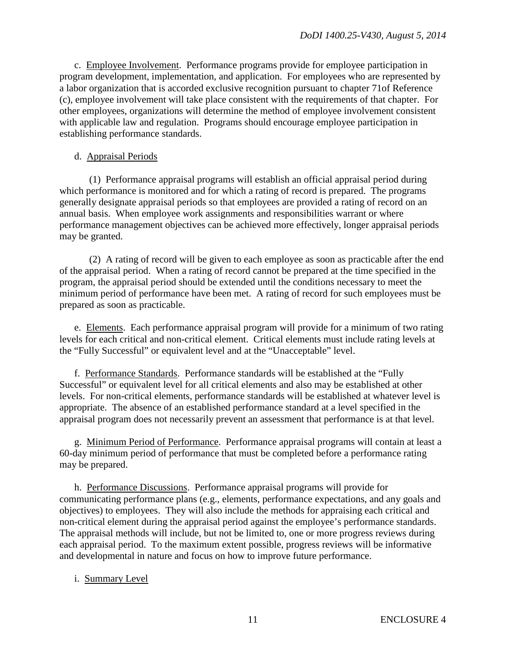c. Employee Involvement. Performance programs provide for employee participation in program development, implementation, and application. For employees who are represented by a labor organization that is accorded exclusive recognition pursuant to chapter 71of Reference (c), employee involvement will take place consistent with the requirements of that chapter. For other employees, organizations will determine the method of employee involvement consistent with applicable law and regulation. Programs should encourage employee participation in establishing performance standards.

#### d. Appraisal Periods

(1) Performance appraisal programs will establish an official appraisal period during which performance is monitored and for which a rating of record is prepared. The programs generally designate appraisal periods so that employees are provided a rating of record on an annual basis. When employee work assignments and responsibilities warrant or where performance management objectives can be achieved more effectively, longer appraisal periods may be granted.

(2) A rating of record will be given to each employee as soon as practicable after the end of the appraisal period. When a rating of record cannot be prepared at the time specified in the program, the appraisal period should be extended until the conditions necessary to meet the minimum period of performance have been met. A rating of record for such employees must be prepared as soon as practicable.

e. Elements. Each performance appraisal program will provide for a minimum of two rating levels for each critical and non-critical element. Critical elements must include rating levels at the "Fully Successful" or equivalent level and at the "Unacceptable" level.

f. Performance Standards. Performance standards will be established at the "Fully Successful" or equivalent level for all critical elements and also may be established at other levels. For non-critical elements, performance standards will be established at whatever level is appropriate. The absence of an established performance standard at a level specified in the appraisal program does not necessarily prevent an assessment that performance is at that level.

g. Minimum Period of Performance. Performance appraisal programs will contain at least a 60-day minimum period of performance that must be completed before a performance rating may be prepared.

h. Performance Discussions. Performance appraisal programs will provide for communicating performance plans (e.g., elements, performance expectations, and any goals and objectives) to employees. They will also include the methods for appraising each critical and non-critical element during the appraisal period against the employee's performance standards. The appraisal methods will include, but not be limited to, one or more progress reviews during each appraisal period. To the maximum extent possible, progress reviews will be informative and developmental in nature and focus on how to improve future performance.

## i. Summary Level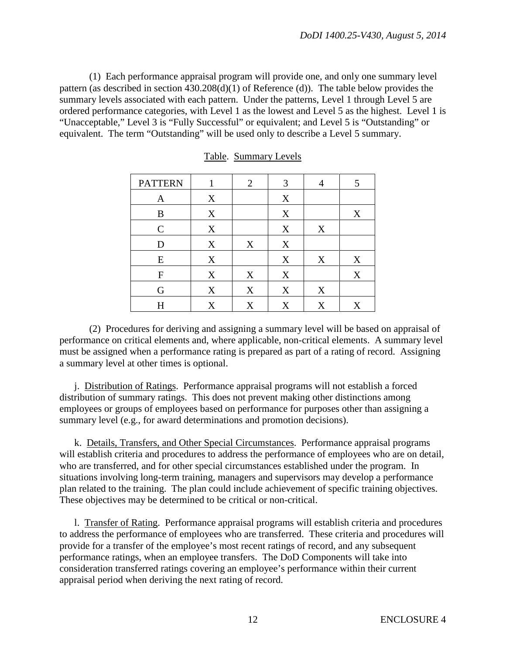(1) Each performance appraisal program will provide one, and only one summary level pattern (as described in section 430.208(d)(1) of Reference (d)). The table below provides the summary levels associated with each pattern. Under the patterns, Level 1 through Level 5 are ordered performance categories, with Level 1 as the lowest and Level 5 as the highest. Level 1 is "Unacceptable," Level 3 is "Fully Successful" or equivalent; and Level 5 is "Outstanding" or equivalent. The term "Outstanding" will be used only to describe a Level 5 summary.

| <b>PATTERN</b>   | 1 | $\overline{2}$ | 3 |   | 5 |
|------------------|---|----------------|---|---|---|
| $\mathbf{A}$     | X |                | X |   |   |
| B                | X |                | X |   | X |
| $\mathcal{C}$    | X |                | X | X |   |
| D                | X | X              | X |   |   |
| E                | X |                | X | X | X |
| $\boldsymbol{F}$ | X | X              | X |   | X |
| G                | X | X              | X | X |   |
| H                | X | X              | X | X | X |

#### Table. Summary Levels

(2) Procedures for deriving and assigning a summary level will be based on appraisal of performance on critical elements and, where applicable, non-critical elements. A summary level must be assigned when a performance rating is prepared as part of a rating of record. Assigning a summary level at other times is optional.

j. Distribution of Ratings. Performance appraisal programs will not establish a forced distribution of summary ratings. This does not prevent making other distinctions among employees or groups of employees based on performance for purposes other than assigning a summary level (e.g., for award determinations and promotion decisions).

k. Details, Transfers, and Other Special Circumstances. Performance appraisal programs will establish criteria and procedures to address the performance of employees who are on detail, who are transferred, and for other special circumstances established under the program. In situations involving long-term training, managers and supervisors may develop a performance plan related to the training. The plan could include achievement of specific training objectives. These objectives may be determined to be critical or non-critical.

l. Transfer of Rating. Performance appraisal programs will establish criteria and procedures to address the performance of employees who are transferred. These criteria and procedures will provide for a transfer of the employee's most recent ratings of record, and any subsequent performance ratings, when an employee transfers. The DoD Components will take into consideration transferred ratings covering an employee's performance within their current appraisal period when deriving the next rating of record.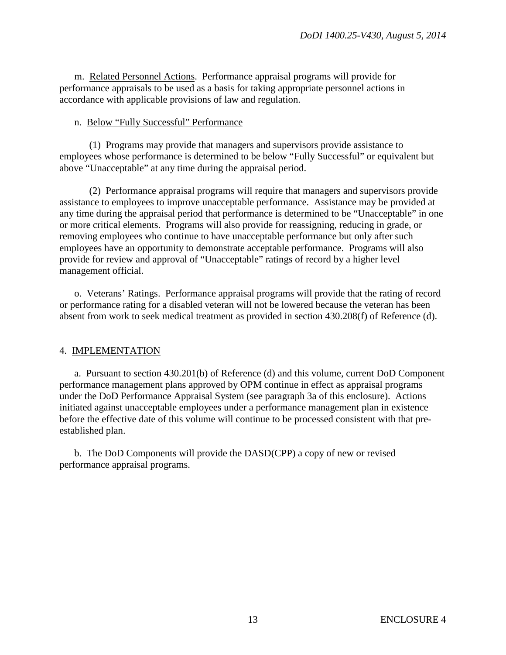m. Related Personnel Actions. Performance appraisal programs will provide for performance appraisals to be used as a basis for taking appropriate personnel actions in accordance with applicable provisions of law and regulation.

#### n. Below "Fully Successful" Performance

(1) Programs may provide that managers and supervisors provide assistance to employees whose performance is determined to be below "Fully Successful" or equivalent but above "Unacceptable" at any time during the appraisal period.

(2) Performance appraisal programs will require that managers and supervisors provide assistance to employees to improve unacceptable performance. Assistance may be provided at any time during the appraisal period that performance is determined to be "Unacceptable" in one or more critical elements. Programs will also provide for reassigning, reducing in grade, or removing employees who continue to have unacceptable performance but only after such employees have an opportunity to demonstrate acceptable performance. Programs will also provide for review and approval of "Unacceptable" ratings of record by a higher level management official.

o. Veterans' Ratings. Performance appraisal programs will provide that the rating of record or performance rating for a disabled veteran will not be lowered because the veteran has been absent from work to seek medical treatment as provided in section 430.208(f) of Reference (d).

## 4. IMPLEMENTATION

a. Pursuant to section 430.201(b) of Reference (d) and this volume, current DoD Component performance management plans approved by OPM continue in effect as appraisal programs under the DoD Performance Appraisal System (see paragraph 3a of this enclosure). Actions initiated against unacceptable employees under a performance management plan in existence before the effective date of this volume will continue to be processed consistent with that preestablished plan.

b. The DoD Components will provide the DASD(CPP) a copy of new or revised performance appraisal programs.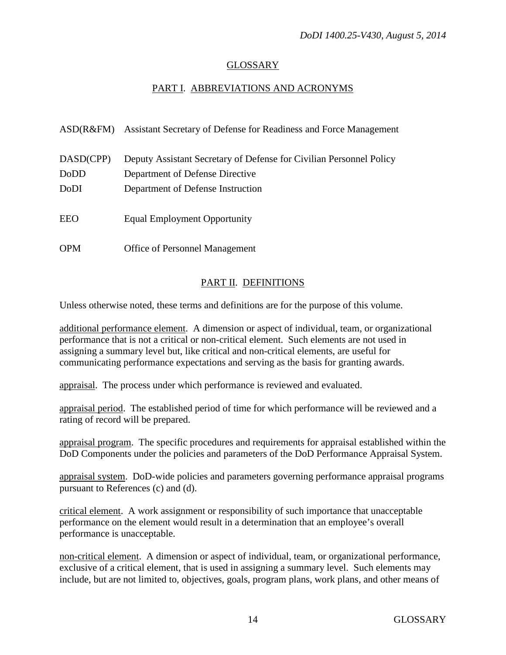## GLOSSARY

## PART I. ABBREVIATIONS AND ACRONYMS

|            | ASD(R&FM) Assistant Secretary of Defense for Readiness and Force Management |
|------------|-----------------------------------------------------------------------------|
| DASD(CPP)  | Deputy Assistant Secretary of Defense for Civilian Personnel Policy         |
| DoDD       | Department of Defense Directive                                             |
| DoDI       | Department of Defense Instruction                                           |
| EEO        | <b>Equal Employment Opportunity</b>                                         |
| <b>OPM</b> | <b>Office of Personnel Management</b>                                       |

#### PART II. DEFINITIONS

Unless otherwise noted, these terms and definitions are for the purpose of this volume.

additional performance element. A dimension or aspect of individual, team, or organizational performance that is not a critical or non-critical element. Such elements are not used in assigning a summary level but, like critical and non-critical elements, are useful for communicating performance expectations and serving as the basis for granting awards.

appraisal. The process under which performance is reviewed and evaluated.

appraisal period. The established period of time for which performance will be reviewed and a rating of record will be prepared.

appraisal program. The specific procedures and requirements for appraisal established within the DoD Components under the policies and parameters of the DoD Performance Appraisal System.

appraisal system. DoD-wide policies and parameters governing performance appraisal programs pursuant to References (c) and (d).

critical element. A work assignment or responsibility of such importance that unacceptable performance on the element would result in a determination that an employee's overall performance is unacceptable.

non-critical element. A dimension or aspect of individual, team, or organizational performance, exclusive of a critical element, that is used in assigning a summary level. Such elements may include, but are not limited to, objectives, goals, program plans, work plans, and other means of